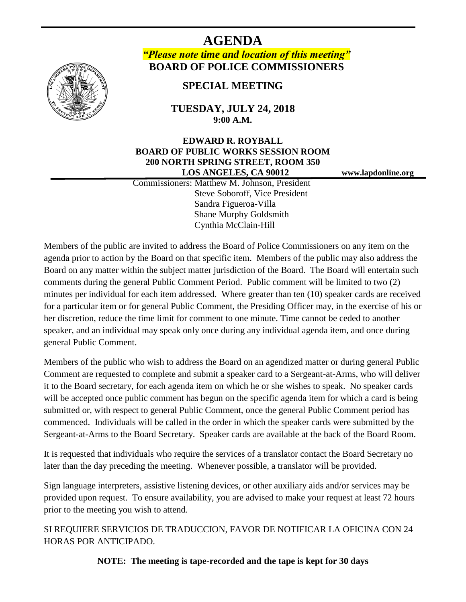

**AGENDA** *"Please note time and location of this meeting"* **BOARD OF POLICE COMMISSIONERS**

**SPECIAL MEETING**

**TUESDAY, JULY 24, 2018 9:00 A.M.**

## **EDWARD R. ROYBALL BOARD OF PUBLIC WORKS SESSION ROOM 200 NORTH SPRING STREET, ROOM 350 LOS ANGELES, CA 90012 www.lapdonline.org**

 Commissioners: Matthew M. Johnson, President Steve Soboroff, Vice President Sandra Figueroa-Villa Shane Murphy Goldsmith Cynthia McClain-Hill

Members of the public are invited to address the Board of Police Commissioners on any item on the agenda prior to action by the Board on that specific item. Members of the public may also address the Board on any matter within the subject matter jurisdiction of the Board. The Board will entertain such comments during the general Public Comment Period. Public comment will be limited to two (2) minutes per individual for each item addressed. Where greater than ten (10) speaker cards are received for a particular item or for general Public Comment, the Presiding Officer may, in the exercise of his or her discretion, reduce the time limit for comment to one minute. Time cannot be ceded to another speaker, and an individual may speak only once during any individual agenda item, and once during general Public Comment.

Members of the public who wish to address the Board on an agendized matter or during general Public Comment are requested to complete and submit a speaker card to a Sergeant-at-Arms, who will deliver it to the Board secretary, for each agenda item on which he or she wishes to speak. No speaker cards will be accepted once public comment has begun on the specific agenda item for which a card is being submitted or, with respect to general Public Comment, once the general Public Comment period has commenced. Individuals will be called in the order in which the speaker cards were submitted by the Sergeant-at-Arms to the Board Secretary. Speaker cards are available at the back of the Board Room.

It is requested that individuals who require the services of a translator contact the Board Secretary no later than the day preceding the meeting. Whenever possible, a translator will be provided.

Sign language interpreters, assistive listening devices, or other auxiliary aids and/or services may be provided upon request. To ensure availability, you are advised to make your request at least 72 hours prior to the meeting you wish to attend.

SI REQUIERE SERVICIOS DE TRADUCCION, FAVOR DE NOTIFICAR LA OFICINA CON 24 HORAS POR ANTICIPADO.

**NOTE: The meeting is tape-recorded and the tape is kept for 30 days**